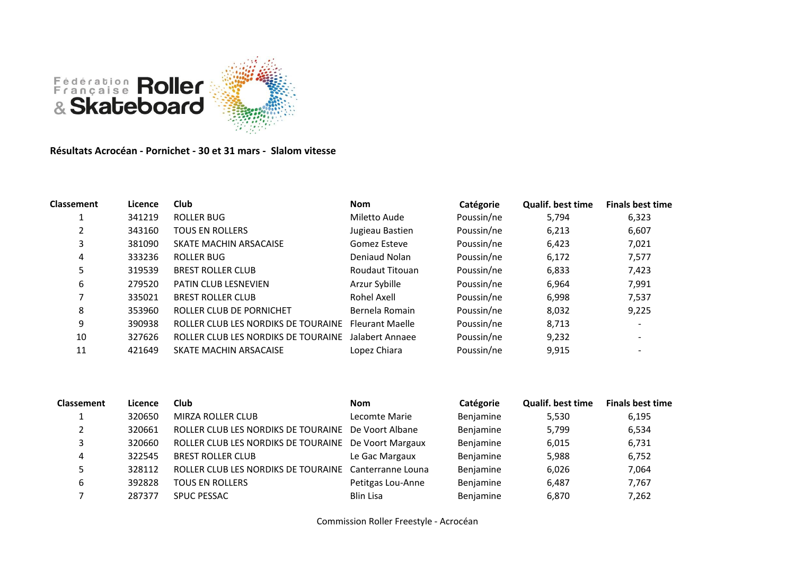

**Résultats Acrocéan - Pornichet - 30 et 31 mars - Slalom vitesse**

| <b>Classement</b> | Licence | <b>Club</b>                         | <b>Nom</b>             | Catégorie  | <b>Qualif. best time</b> | <b>Finals best time</b>  |
|-------------------|---------|-------------------------------------|------------------------|------------|--------------------------|--------------------------|
|                   | 341219  | <b>ROLLER BUG</b>                   | Miletto Aude           | Poussin/ne | 5,794                    | 6,323                    |
|                   | 343160  | <b>TOUS EN ROLLERS</b>              | Jugieau Bastien        | Poussin/ne | 6,213                    | 6,607                    |
| 3                 | 381090  | SKATE MACHIN ARSACAISE              | Gomez Esteve           | Poussin/ne | 6,423                    | 7,021                    |
| 4                 | 333236  | ROLLER BUG                          | Deniaud Nolan          | Poussin/ne | 6,172                    | 7,577                    |
| 5                 | 319539  | <b>BREST ROLLER CLUB</b>            | Roudaut Titouan        | Poussin/ne | 6,833                    | 7,423                    |
| 6                 | 279520  | <b>PATIN CLUB LESNEVIEN</b>         | Arzur Sybille          | Poussin/ne | 6,964                    | 7,991                    |
|                   | 335021  | <b>BREST ROLLER CLUB</b>            | Rohel Axell            | Poussin/ne | 6,998                    | 7,537                    |
| 8                 | 353960  | ROLLER CLUB DE PORNICHET            | Bernela Romain         | Poussin/ne | 8,032                    | 9,225                    |
| 9                 | 390938  | ROLLER CLUB LES NORDIKS DE TOURAINE | <b>Fleurant Maelle</b> | Poussin/ne | 8,713                    | $\overline{\phantom{a}}$ |
| 10                | 327626  | ROLLER CLUB LES NORDIKS DE TOURAINE | Jalabert Annaee        | Poussin/ne | 9,232                    | $\overline{\phantom{a}}$ |
| 11                | 421649  | SKATE MACHIN ARSACAISE              | Lopez Chiara           | Poussin/ne | 9,915                    |                          |

| <b>Classement</b> | Licence | Club                                                  | <b>Nom</b>        | Catégorie | <b>Qualif. best time</b> | <b>Finals best time</b> |
|-------------------|---------|-------------------------------------------------------|-------------------|-----------|--------------------------|-------------------------|
|                   | 320650  | MIRZA ROLLER CLUB                                     | Lecomte Marie     | Benjamine | 5,530                    | 6,195                   |
|                   | 320661  | ROLLER CLUB LES NORDIKS DE TOURAINE De Voort Albane   |                   | Benjamine | 5,799                    | 6,534                   |
|                   | 320660  | ROLLER CLUB LES NORDIKS DE TOURAINE De Voort Margaux  |                   | Benjamine | 6,015                    | 6,731                   |
| 4                 | 322545  | <b>BREST ROLLER CLUB</b>                              | Le Gac Margaux    | Benjamine | 5,988                    | 6,752                   |
|                   | 328112  | ROLLER CLUB LES NORDIKS DE TOURAINE Canterranne Louna |                   | Benjamine | 6,026                    | 7,064                   |
|                   | 392828  | <b>TOUS EN ROLLERS</b>                                | Petitgas Lou-Anne | Benjamine | 6,487                    | 7,767                   |
|                   | 287377  | <b>SPUC PESSAC</b>                                    | Blin Lisa         | Benjamine | 6,870                    | 7,262                   |

Commission Roller Freestyle - Acrocéan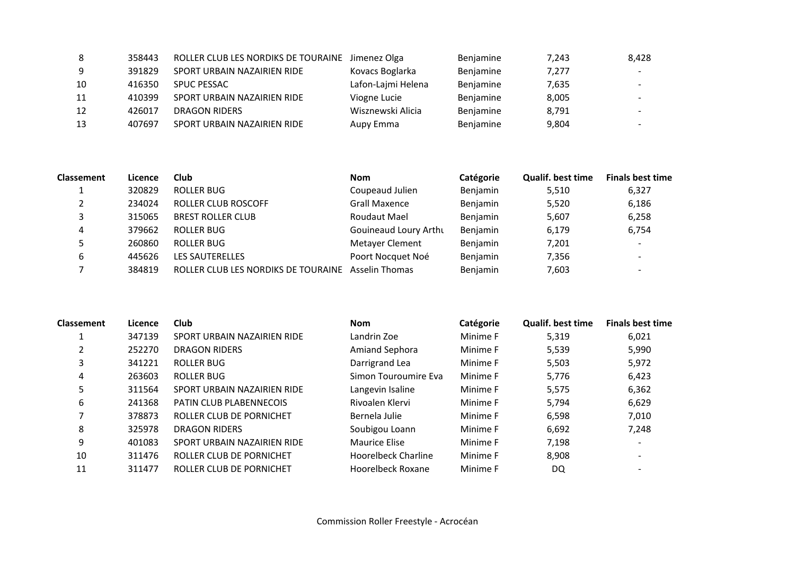| 8  | 358443 | ROLLER CLUB LES NORDIKS DE TOURAINE Jimenez Olga |                    | Benjamine | 7,243 | 8,428                    |
|----|--------|--------------------------------------------------|--------------------|-----------|-------|--------------------------|
| -9 | 391829 | SPORT URBAIN NAZAIRIEN RIDE                      | Kovacs Boglarka    | Benjamine | 7,277 |                          |
| 10 | 416350 | <b>SPUC PESSAC</b>                               | Lafon-Lajmi Helena | Benjamine | 7,635 | $\overline{\phantom{0}}$ |
| 11 | 410399 | SPORT URBAIN NAZAIRIEN RIDE                      | Viogne Lucie       | Benjamine | 8,005 |                          |
| 12 | 426017 | <b>DRAGON RIDERS</b>                             | Wisznewski Alicia  | Benjamine | 8,791 | $\overline{\phantom{0}}$ |
| 13 | 407697 | SPORT URBAIN NAZAIRIEN RIDE                      | Aupy Emma          | Benjamine | 9,804 |                          |

| <b>Classement</b> | Licence | Club                                               | <b>Nom</b>            | Catégorie | <b>Qualif. best time</b> | <b>Finals best time</b>  |
|-------------------|---------|----------------------------------------------------|-----------------------|-----------|--------------------------|--------------------------|
|                   | 320829  | ROLLER BUG                                         | Coupeaud Julien       | Benjamin  | 5,510                    | 6,327                    |
| ▵                 | 234024  | ROLLER CLUB ROSCOFF                                | <b>Grall Maxence</b>  | Benjamin  | 5,520                    | 6,186                    |
| 3                 | 315065  | <b>BREST ROLLER CLUB</b>                           | Roudaut Mael          | Benjamin  | 5,607                    | 6,258                    |
| 4                 | 379662  | ROLLER BUG                                         | Gouineaud Loury Arthu | Benjamin  | 6,179                    | 6,754                    |
| 5                 | 260860  | ROLLER BUG                                         | Metayer Clement       | Benjamin  | 7,201                    | $\overline{\phantom{a}}$ |
| 6                 | 445626  | <b>LES SAUTERELLES</b>                             | Poort Nocquet Noé     | Benjamin  | 7,356                    | $\overline{\phantom{0}}$ |
|                   | 384819  | ROLLER CLUB LES NORDIKS DE TOURAINE Asselin Thomas |                       | Benjamin  | 7,603                    | $\overline{\phantom{a}}$ |

| <b>Classement</b> | Licence | <b>Club</b>                    | <b>Nom</b>            | Catégorie | <b>Qualif. best time</b> | <b>Finals best time</b>  |
|-------------------|---------|--------------------------------|-----------------------|-----------|--------------------------|--------------------------|
|                   | 347139  | SPORT URBAIN NAZAIRIEN RIDE    | Landrin Zoe           | Minime F  | 5,319                    | 6,021                    |
|                   | 252270  | <b>DRAGON RIDERS</b>           | <b>Amiand Sephora</b> | Minime F  | 5,539                    | 5,990                    |
| 3                 | 341221  | ROLLER BUG                     | Darrigrand Lea        | Minime F  | 5,503                    | 5,972                    |
| 4                 | 263603  | ROLLER BUG                     | Simon Touroumire Eva  | Minime F  | 5,776                    | 6,423                    |
|                   | 311564  | SPORT URBAIN NAZAIRIEN RIDE    | Langevin Isaline      | Minime F  | 5,575                    | 6,362                    |
| 6                 | 241368  | <b>PATIN CLUB PLABENNECOIS</b> | Rivoalen Klervi       | Minime F  | 5,794                    | 6,629                    |
|                   | 378873  | ROLLER CLUB DE PORNICHET       | Bernela Julie         | Minime F  | 6,598                    | 7,010                    |
| 8                 | 325978  | <b>DRAGON RIDERS</b>           | Soubigou Loann        | Minime F  | 6,692                    | 7,248                    |
| 9                 | 401083  | SPORT URBAIN NAZAIRIEN RIDE    | Maurice Elise         | Minime F  | 7,198                    | $\overline{\phantom{a}}$ |
| 10                | 311476  | ROLLER CLUB DE PORNICHET       | Hoorelbeck Charline   | Minime F  | 8,908                    |                          |
| 11                | 311477  | ROLLER CLUB DE PORNICHET       | Hoorelbeck Roxane     | Minime F  | DQ                       |                          |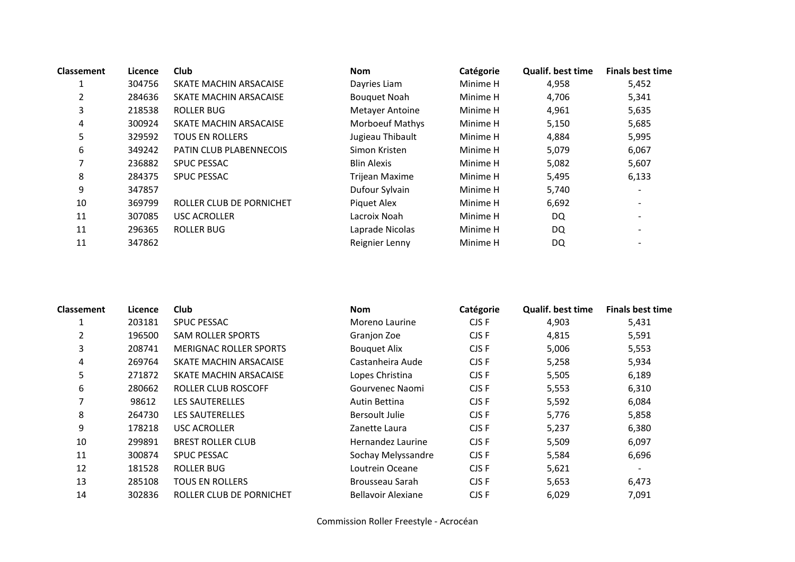| <b>Classement</b> | Licence | <b>Club</b>                    | <b>Nom</b>             | Catégorie | <b>Qualif. best time</b> | <b>Finals best time</b>      |
|-------------------|---------|--------------------------------|------------------------|-----------|--------------------------|------------------------------|
|                   | 304756  | SKATE MACHIN ARSACAISE         | Dayries Liam           | Minime H  | 4,958                    | 5,452                        |
| $\overline{2}$    | 284636  | SKATE MACHIN ARSACAISE         | <b>Bouquet Noah</b>    | Minime H  | 4,706                    | 5,341                        |
| 3                 | 218538  | ROLLER BUG                     | <b>Metayer Antoine</b> | Minime H  | 4,961                    | 5,635                        |
| 4                 | 300924  | SKATE MACHIN ARSACAISE         | <b>Morboeuf Mathys</b> | Minime H  | 5,150                    | 5,685                        |
| 5                 | 329592  | <b>TOUS EN ROLLERS</b>         | Jugieau Thibault       | Minime H  | 4,884                    | 5,995                        |
| 6                 | 349242  | <b>PATIN CLUB PLABENNECOIS</b> | Simon Kristen          | Minime H  | 5,079                    | 6,067                        |
|                   | 236882  | <b>SPUC PESSAC</b>             | <b>Blin Alexis</b>     | Minime H  | 5,082                    | 5,607                        |
| 8                 | 284375  | <b>SPUC PESSAC</b>             | <b>Trijean Maxime</b>  | Minime H  | 5,495                    | 6,133                        |
| 9                 | 347857  |                                | Dufour Sylvain         | Minime H  | 5,740                    | $\qquad \qquad \blacksquare$ |
| 10                | 369799  | ROLLER CLUB DE PORNICHET       | Piquet Alex            | Minime H  | 6,692                    |                              |
| 11                | 307085  | <b>USC ACROLLER</b>            | Lacroix Noah           | Minime H  | DQ                       | $\overline{\phantom{a}}$     |
| 11                | 296365  | ROLLER BUG                     | Laprade Nicolas        | Minime H  | DQ                       | $\overline{\phantom{0}}$     |
| 11                | 347862  |                                | Reignier Lenny         | Minime H  | DQ                       |                              |

| <b>Classement</b> | Licence | <b>Club</b>                   | <b>Nom</b>                | Catégorie | <b>Qualif. best time</b> | <b>Finals best time</b> |
|-------------------|---------|-------------------------------|---------------------------|-----------|--------------------------|-------------------------|
|                   | 203181  | <b>SPUC PESSAC</b>            | Moreno Laurine            | CJS F     | 4,903                    | 5,431                   |
| 2                 | 196500  | <b>SAM ROLLER SPORTS</b>      | Granjon Zoe               | CJS F     | 4,815                    | 5,591                   |
| 3                 | 208741  | <b>MERIGNAC ROLLER SPORTS</b> | <b>Bouquet Alix</b>       | CJS F     | 5,006                    | 5,553                   |
| 4                 | 269764  | SKATE MACHIN ARSACAISE        | Castanheira Aude          | CJS F     | 5,258                    | 5,934                   |
| 5                 | 271872  | SKATE MACHIN ARSACAISE        | Lopes Christina           | CJS F     | 5,505                    | 6,189                   |
| 6                 | 280662  | ROLLER CLUB ROSCOFF           | Gourvenec Naomi           | CJS F     | 5,553                    | 6,310                   |
| 7                 | 98612   | <b>LES SAUTERELLES</b>        | Autin Bettina             | CJS F     | 5,592                    | 6,084                   |
| 8                 | 264730  | <b>LES SAUTERELLES</b>        | <b>Bersoult Julie</b>     | CJS F     | 5,776                    | 5,858                   |
| 9                 | 178218  | <b>USC ACROLLER</b>           | Zanette Laura             | CJS F     | 5,237                    | 6,380                   |
| 10                | 299891  | <b>BREST ROLLER CLUB</b>      | Hernandez Laurine         | CJS F     | 5,509                    | 6,097                   |
| 11                | 300874  | <b>SPUC PESSAC</b>            | Sochay Melyssandre        | CJS F     | 5,584                    | 6,696                   |
| 12                | 181528  | ROLLER BUG                    | Loutrein Oceane           | CJS F     | 5,621                    |                         |
| 13                | 285108  | TOUS EN ROLLERS               | Brousseau Sarah           | CJS F     | 5,653                    | 6,473                   |
| 14                | 302836  | ROLLER CLUB DE PORNICHET      | <b>Bellavoir Alexiane</b> | CJS F     | 6,029                    | 7,091                   |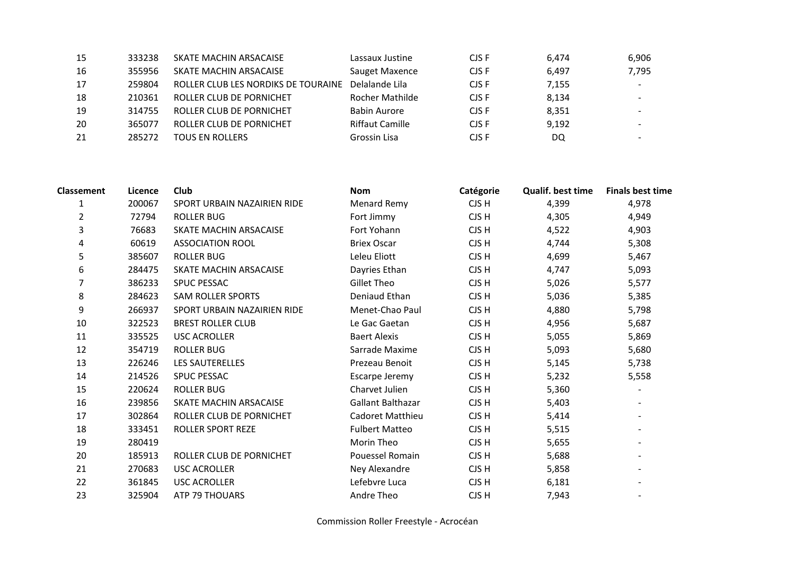| 15 | 333238 | SKATE MACHIN ARSACAISE              | Lassaux Justine        | CJS F | 6.474 | 6,906 |
|----|--------|-------------------------------------|------------------------|-------|-------|-------|
| 16 | 355956 | SKATE MACHIN ARSACAISE              | Sauget Maxence         | CJS F | 6,497 | 7,795 |
| 17 | 259804 | ROLLER CLUB LES NORDIKS DE TOURAINE | Delalande Lila         | CJS F | 7,155 |       |
| 18 | 210361 | ROLLER CLUB DE PORNICHET            | Rocher Mathilde        | CJS F | 8,134 |       |
| 19 | 314755 | ROLLER CLUB DE PORNICHET            | <b>Babin Aurore</b>    | CJS F | 8.351 |       |
| 20 | 365077 | ROLLER CLUB DE PORNICHET            | <b>Riffaut Camille</b> | CJS F | 9,192 |       |
| 21 | 285272 | <b>TOUS EN ROLLERS</b>              | Grossin Lisa           | CJS F | DQ    |       |

| <b>Classement</b> | Licence | Club                        | <b>Nom</b>              | Catégorie | Qualif. best time | <b>Finals best time</b> |
|-------------------|---------|-----------------------------|-------------------------|-----------|-------------------|-------------------------|
| 1                 | 200067  | SPORT URBAIN NAZAIRIEN RIDE | <b>Menard Remy</b>      | CJS H     | 4,399             | 4,978                   |
| $\overline{2}$    | 72794   | <b>ROLLER BUG</b>           | Fort Jimmy              | CJS H     | 4,305             | 4,949                   |
| 3                 | 76683   | SKATE MACHIN ARSACAISE      | Fort Yohann             | CJS H     | 4,522             | 4,903                   |
| 4                 | 60619   | <b>ASSOCIATION ROOL</b>     | <b>Briex Oscar</b>      | CJS H     | 4,744             | 5,308                   |
| 5                 | 385607  | <b>ROLLER BUG</b>           | Leleu Eliott            | CJS H     | 4,699             | 5,467                   |
| 6                 | 284475  | SKATE MACHIN ARSACAISE      | Dayries Ethan           | CJS H     | 4,747             | 5,093                   |
|                   | 386233  | SPUC PESSAC                 | Gillet Theo             | CJS H     | 5,026             | 5,577                   |
| 8                 | 284623  | <b>SAM ROLLER SPORTS</b>    | Deniaud Ethan           | CJS H     | 5,036             | 5,385                   |
| 9                 | 266937  | SPORT URBAIN NAZAIRIEN RIDE | Menet-Chao Paul         | CJS H     | 4,880             | 5,798                   |
| 10                | 322523  | <b>BREST ROLLER CLUB</b>    | Le Gac Gaetan           | CJS H     | 4,956             | 5,687                   |
| 11                | 335525  | <b>USC ACROLLER</b>         | <b>Baert Alexis</b>     | CJS H     | 5,055             | 5,869                   |
| 12                | 354719  | <b>ROLLER BUG</b>           | Sarrade Maxime          | CJS H     | 5,093             | 5,680                   |
| 13                | 226246  | <b>LES SAUTERELLES</b>      | Prezeau Benoit          | CJS H     | 5,145             | 5,738                   |
| 14                | 214526  | <b>SPUC PESSAC</b>          | Escarpe Jeremy          | CJS H     | 5,232             | 5,558                   |
| 15                | 220624  | <b>ROLLER BUG</b>           | Charvet Julien          | CJS H     | 5,360             |                         |
| 16                | 239856  | SKATE MACHIN ARSACAISE      | Gallant Balthazar       | CJS H     | 5,403             |                         |
| 17                | 302864  | ROLLER CLUB DE PORNICHET    | <b>Cadoret Matthieu</b> | CJS H     | 5,414             |                         |
| 18                | 333451  | ROLLER SPORT REZE           | <b>Fulbert Matteo</b>   | CJS H     | 5,515             |                         |
| 19                | 280419  |                             | Morin Theo              | CJS H     | 5,655             |                         |
| 20                | 185913  | ROLLER CLUB DE PORNICHET    | Pouessel Romain         | CJS H     | 5,688             |                         |
| 21                | 270683  | <b>USC ACROLLER</b>         | Ney Alexandre           | CJS H     | 5,858             |                         |
| 22                | 361845  | <b>USC ACROLLER</b>         | Lefebvre Luca           | CJS H     | 6,181             |                         |
| 23                | 325904  | <b>ATP 79 THOUARS</b>       | Andre Theo              | CJS H     | 7,943             |                         |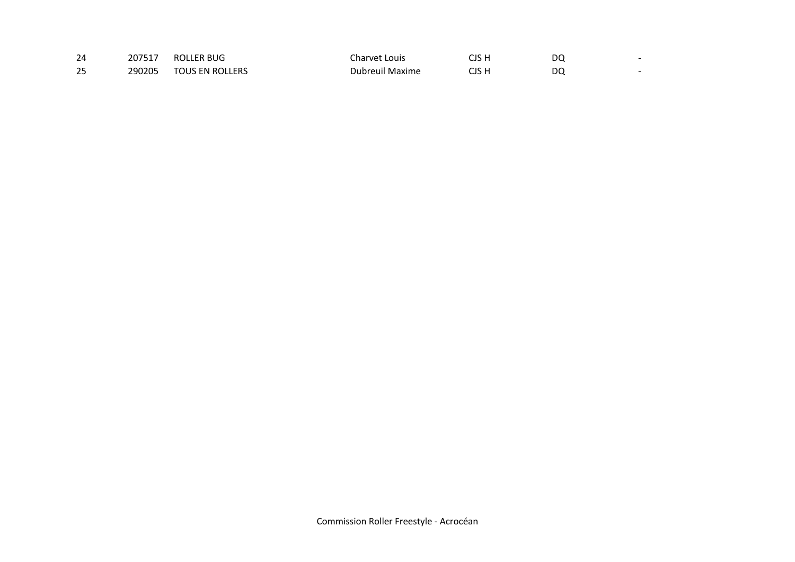| 24 | 207517 | ROLLER BUG             | Charvet Louis          | יוכ ג | DC |  |
|----|--------|------------------------|------------------------|-------|----|--|
| 25 | 290205 | <b>TOUS EN ROLLERS</b> | <b>Dubreuil Maxime</b> | ו הור | DC |  |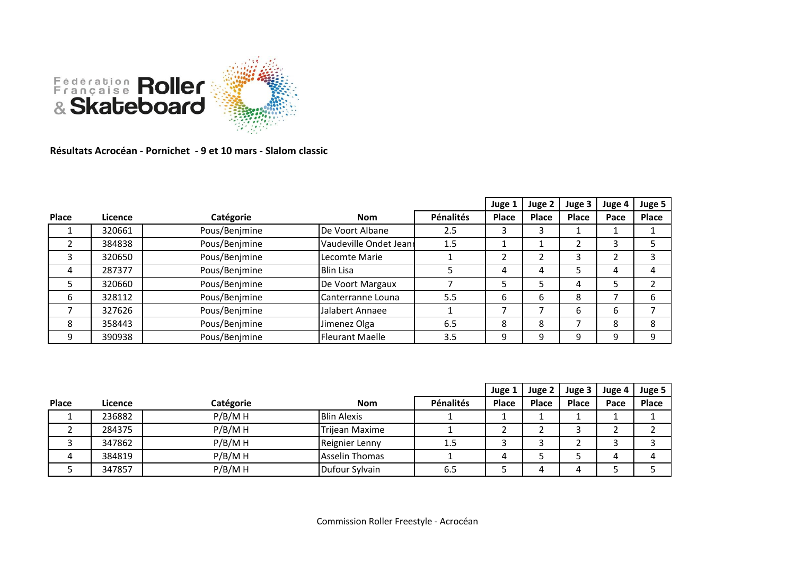

**Résultats Acrocéan - Pornichet - 9 et 10 mars - Slalom classic**

|       |         |               |                        |           | Juge 1 | Juge 2 | Juge 3       | Juge 4 | Juge 5       |
|-------|---------|---------------|------------------------|-----------|--------|--------|--------------|--------|--------------|
| Place | Licence | Catégorie     | <b>Nom</b>             | Pénalités | Place  | Place  | <b>Place</b> | Pace   | <b>Place</b> |
|       | 320661  | Pous/Benjmine | De Voort Albane        | 2.5       | 3      | 3      |              |        |              |
|       | 384838  | Pous/Benjmine | Vaudeville Ondet Jeann | 1.5       |        |        | ∍            | 3      |              |
| 3     | 320650  | Pous/Benjmine | Lecomte Marie          |           |        |        | 3            |        |              |
| 4     | 287377  | Pous/Benjmine | <b>Blin Lisa</b>       |           | 4      | 4      | כ            | 4      |              |
| 5     | 320660  | Pous/Benjmine | De Voort Margaux       |           |        |        | 4            |        |              |
| 6     | 328112  | Pous/Benjmine | Canterranne Louna      | 5.5       | 6      | b      | 8            |        | 6            |
|       | 327626  | Pous/Benjmine | Jalabert Annaee        |           |        |        | 6            | b      |              |
| 8     | 358443  | Pous/Benjmine | Jimenez Olga           | 6.5       | 8      | 8      |              | 8      | 8            |
| 9     | 390938  | Pous/Benjmine | <b>Fleurant Maelle</b> | 3.5       | 9      | q      | 9            | 9      | 9            |

|       |         |           |                       |           | Juge 1       | Juge 2 | Juge 3       | Juge 4 | Juge 5 |
|-------|---------|-----------|-----------------------|-----------|--------------|--------|--------------|--------|--------|
| Place | Licence | Catégorie | <b>Nom</b>            | Pénalités | <b>Place</b> | Place  | <b>Place</b> | Pace   | Place  |
|       | 236882  | P/B/MH    | <b>Blin Alexis</b>    |           |              |        |              |        |        |
|       | 284375  | P/B/MH    | Trijean Maxime        |           |              |        |              |        |        |
|       | 347862  | P/B/MH    | Reignier Lenny        | 1.5       |              |        |              |        |        |
| 4     | 384819  | P/B/MH    | <b>Asselin Thomas</b> |           | 4            |        |              | 4      |        |
|       | 347857  | P/B/MH    | Dufour Sylvain        | 6.5       |              |        | Δ            |        |        |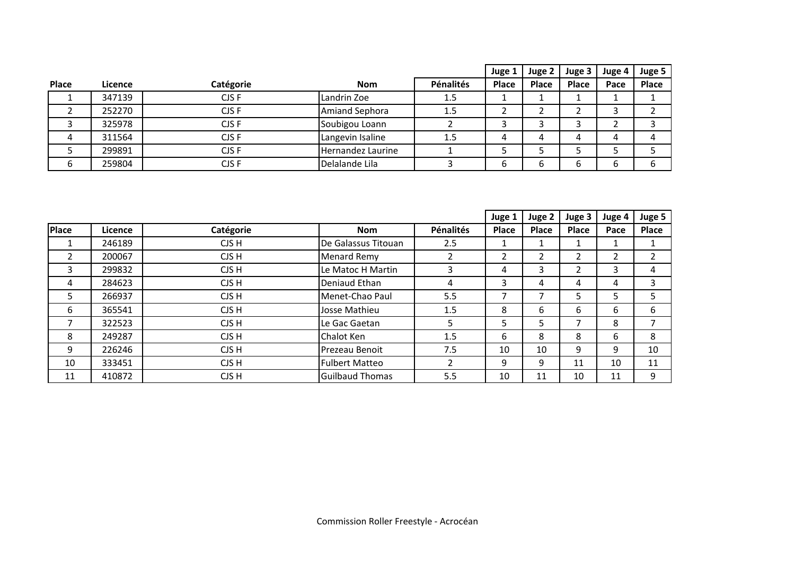|              |         |           |                       |           | Juge 1       | Juge 2 | Juge 3       | Juge 4 | Juge 5 |
|--------------|---------|-----------|-----------------------|-----------|--------------|--------|--------------|--------|--------|
| <b>Place</b> | Licence | Catégorie | <b>Nom</b>            | Pénalités | <b>Place</b> | Place  | <b>Place</b> | Pace   | Place  |
|              | 347139  | CJS F     | Landrin Zoe           | 1.5       |              |        |              |        |        |
|              | 252270  | CJS F     | <b>Amiand Sephora</b> | 1.5       |              |        |              | ر      |        |
|              | 325978  | CJS F     | Soubigou Loann        |           |              |        |              |        |        |
| 4            | 311564  | CJS F     | Langevin Isaline      | 1.5       | 4            |        | 4            | 4      | 4      |
|              | 299891  | CJS F     | Hernandez Laurine     |           |              |        |              |        |        |
| 6            | 259804  | CJS F     | Delalande Lila        |           | b            |        |              | b      | ь      |

|                |         |           |                        |                | Juge 1       | Juge 2       | Juge 3       | Juge 4         | Juge 5 |
|----------------|---------|-----------|------------------------|----------------|--------------|--------------|--------------|----------------|--------|
| Place          | Licence | Catégorie | <b>Nom</b>             | Pénalités      | <b>Place</b> | <b>Place</b> | <b>Place</b> | Pace           | Place  |
|                | 246189  | CJS H     | De Galassus Titouan    | 2.5            |              |              |              |                |        |
| $\overline{2}$ | 200067  | CJS H     | <b>Menard Remy</b>     | $\overline{2}$ | 2            | C.           | 2            | $\overline{2}$ | 2      |
| 3              | 299832  | CJS H     | Le Matoc H Martin      | 3              | 4            | 3            | ∍            | 3              | 4      |
| 4              | 284623  | CJS H     | Deniaud Ethan          | 4              | 3            | 4            | 4            | 4              | 3      |
| 5              | 266937  | CJS H     | Menet-Chao Paul        | 5.5            |              | ⇁            | 5            | 5.             | 5      |
| 6              | 365541  | CJS H     | Josse Mathieu          | 1.5            | 8            | 6            | 6            | 6              | 6      |
|                | 322523  | CJS H     | Le Gac Gaetan          | 5              | 5            | ∍            | ⇁            | 8              |        |
| 8              | 249287  | CJS H     | Chalot Ken             | 1.5            | 6            | 8            | 8            | 6              | 8      |
| 9              | 226246  | CJS H     | Prezeau Benoit         | 7.5            | 10           | 10           | 9            | 9              | 10     |
| 10             | 333451  | CJS H     | <b>Fulbert Matteo</b>  | ำ              | 9            | 9            | 11           | 10             | 11     |
| 11             | 410872  | CJS H     | <b>Guilbaud Thomas</b> | 5.5            | 10           | 11           | 10           | 11             | 9      |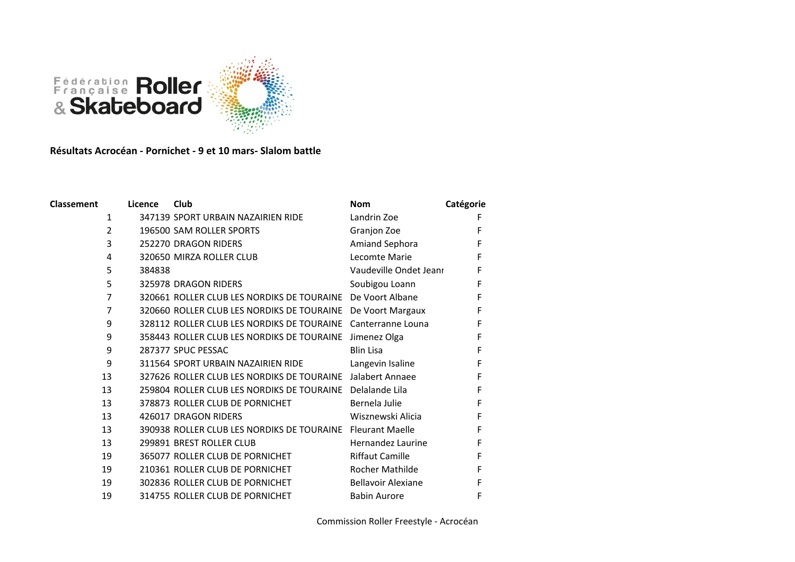

## **Résultats Acrocéan - Pornichet - 9 et 10 mars- Slalom battle**

| <b>Classement</b> | Licence | Club                                                       | <b>Nom</b>                | Catégorie |
|-------------------|---------|------------------------------------------------------------|---------------------------|-----------|
| 1                 |         | 347139 SPORT URBAIN NAZAIRIEN RIDE                         | Landrin Zoe               | F         |
| 2                 |         | 196500 SAM ROLLER SPORTS                                   | Granjon Zoe               | F         |
| 3                 |         | 252270 DRAGON RIDERS                                       | Amiand Sephora            | F         |
| 4                 |         | 320650 MIRZA ROLLER CLUB                                   | Lecomte Marie             | F         |
| 5                 | 384838  |                                                            | Vaudeville Ondet Jeanr    | F         |
| 5                 |         | 325978 DRAGON RIDERS                                       | Soubigou Loann            | F         |
| $\overline{7}$    |         | 320661 ROLLER CLUB LES NORDIKS DE TOURAINE                 | De Voort Albane           | F         |
| $\overline{7}$    |         | 320660 ROLLER CLUB LES NORDIKS DE TOURAINE                 | De Voort Margaux          | F         |
| 9                 |         | 328112 ROLLER CLUB LES NORDIKS DE TOURAINE                 | Canterranne Louna         | F         |
| 9                 |         | 358443 ROLLER CLUB LES NORDIKS DE TOURAINE                 | Jimenez Olga              | F         |
| 9                 |         | 287377 SPUC PESSAC                                         | <b>Blin Lisa</b>          | F         |
| 9                 |         | 311564 SPORT URBAIN NAZAIRIEN RIDE                         | Langevin Isaline          | F         |
| 13                |         | 327626 ROLLER CLUB LES NORDIKS DE TOURAINE Jalabert Annaee |                           | F         |
| 13                |         | 259804 ROLLER CLUB LES NORDIKS DE TOURAINE                 | Delalande Lila            | F         |
| 13                |         | 378873 ROLLER CLUB DE PORNICHET                            | Bernela Julie             | F         |
| 13                |         | 426017 DRAGON RIDERS                                       | Wisznewski Alicia         | F         |
| 13                |         | 390938 ROLLER CLUB LES NORDIKS DE TOURAINE                 | <b>Fleurant Maelle</b>    | F         |
| 13                |         | 299891 BREST ROLLER CLUB                                   | Hernandez Laurine         | F         |
| 19                |         | 365077 ROLLER CLUB DE PORNICHET                            | <b>Riffaut Camille</b>    | F         |
| 19                |         | 210361 ROLLER CLUB DE PORNICHET                            | Rocher Mathilde           | F         |
| 19                |         | 302836 ROLLER CLUB DE PORNICHET                            | <b>Bellavoir Alexiane</b> | F         |
| 19                |         | 314755 ROLLER CLUB DE PORNICHET                            | <b>Babin Aurore</b>       | F         |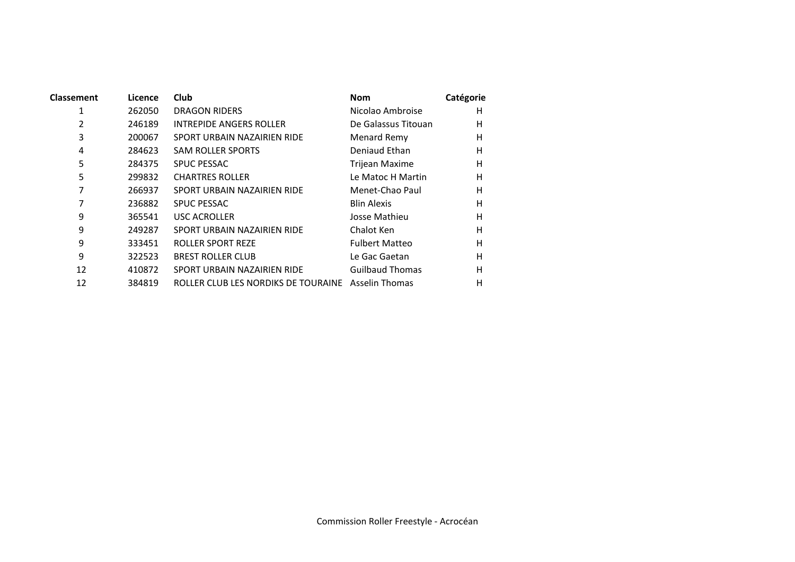| Classement | Licence | Club                                               | <b>Nom</b>             | Catégorie |
|------------|---------|----------------------------------------------------|------------------------|-----------|
| 1          | 262050  | DRAGON RIDERS                                      | Nicolao Ambroise       | н         |
| 2          | 246189  | <b>INTREPIDE ANGERS ROLLER</b>                     | De Galassus Titouan    | H         |
| 3          | 200067  | SPORT URBAIN NAZAIRIEN RIDE                        | Menard Remy            | Н         |
| 4          | 284623  | <b>SAM ROLLER SPORTS</b>                           | Deniaud Ethan          | H         |
| 5          | 284375  | <b>SPUC PESSAC</b>                                 | <b>Trijean Maxime</b>  | н         |
| 5          | 299832  | <b>CHARTRES ROLLER</b>                             | Le Matoc H Martin      | H         |
| 7          | 266937  | SPORT URBAIN NAZAIRIEN RIDE                        | Menet-Chao Paul        | Н         |
| 7          | 236882  | <b>SPUC PESSAC</b>                                 | <b>Blin Alexis</b>     | H         |
| 9          | 365541  | <b>USC ACROLLER</b>                                | Josse Mathieu          | H         |
| 9          | 249287  | SPORT URBAIN NAZAIRIEN RIDE                        | Chalot Ken             | H         |
| 9          | 333451  | ROLLER SPORT REZE                                  | <b>Fulbert Matteo</b>  | H         |
| 9          | 322523  | <b>BREST ROLLER CLUB</b>                           | Le Gac Gaetan          | Н         |
| 12         | 410872  | SPORT URBAIN NAZAIRIEN RIDE                        | <b>Guilbaud Thomas</b> | H         |
| 12         | 384819  | ROLLER CLUB LES NORDIKS DE TOURAINE Asselin Thomas |                        | Н         |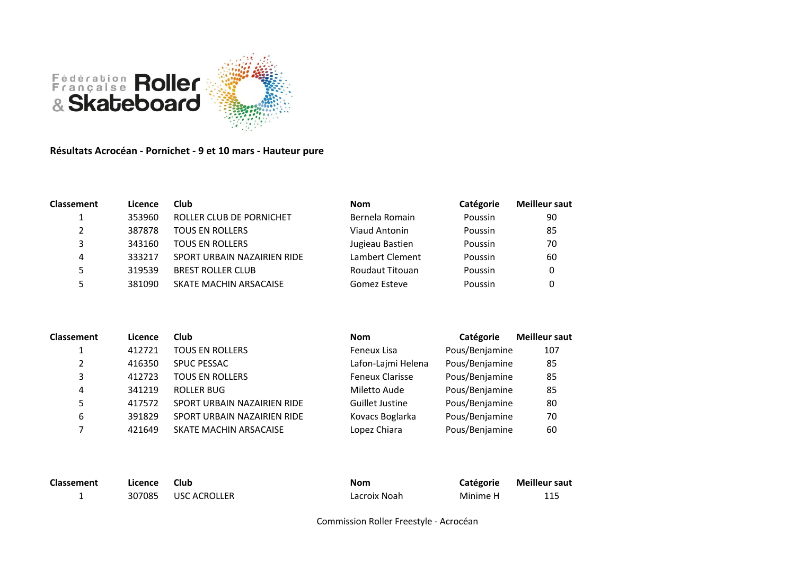

**Résultats Acrocéan - Pornichet - 9 et 10 mars - Hauteur pure**

| <b>Classement</b> | Licence | Club                        | <b>Nom</b>      | Catégorie | <b>Meilleur saut</b> |
|-------------------|---------|-----------------------------|-----------------|-----------|----------------------|
|                   | 353960  | ROLLER CLUB DE PORNICHET    | Bernela Romain  | Poussin   | 90                   |
| 2                 | 387878  | <b>TOUS EN ROLLERS</b>      | Viaud Antonin   | Poussin   | 85                   |
| 3                 | 343160  | <b>TOUS EN ROLLERS</b>      | Jugieau Bastien | Poussin   | 70                   |
| 4                 | 333217  | SPORT URBAIN NAZAIRIEN RIDE | Lambert Clement | Poussin   | 60                   |
| 5.                | 319539  | <b>BREST ROLLER CLUB</b>    | Roudaut Titouan | Poussin   | 0                    |
|                   | 381090  | SKATE MACHIN ARSACAISE      | Gomez Esteve    | Poussin   |                      |

| <b>Classement</b> | Licence | Club                        | <b>Nom</b>             | Catégorie      | <b>Meilleur saut</b> |
|-------------------|---------|-----------------------------|------------------------|----------------|----------------------|
|                   | 412721  | <b>TOUS EN ROLLERS</b>      | Feneux Lisa            | Pous/Benjamine | 107                  |
| 2                 | 416350  | <b>SPUC PESSAC</b>          | Lafon-Lajmi Helena     | Pous/Benjamine | 85                   |
| 3                 | 412723  | <b>TOUS EN ROLLERS</b>      | <b>Feneux Clarisse</b> | Pous/Benjamine | 85                   |
| 4                 | 341219  | <b>ROLLER BUG</b>           | Miletto Aude           | Pous/Benjamine | 85                   |
| 5                 | 417572  | SPORT URBAIN NAZAIRIEN RIDE | Guillet Justine        | Pous/Benjamine | 80                   |
| 6                 | 391829  | SPORT URBAIN NAZAIRIEN RIDE | Kovacs Boglarka        | Pous/Benjamine | 70                   |
|                   | 421649  | SKATE MACHIN ARSACAISE      | Lopez Chiara           | Pous/Benjamine | 60                   |

| <b>Classement</b> | Licence | <b>Club</b>         | <b>Nom</b>   | Catégorie | <b>Meilleur saut</b> |
|-------------------|---------|---------------------|--------------|-----------|----------------------|
|                   |         | 307085 USC ACROLLER | Lacroix Noah | Minime H  | 115                  |

Commission Roller Freestyle - Acrocéan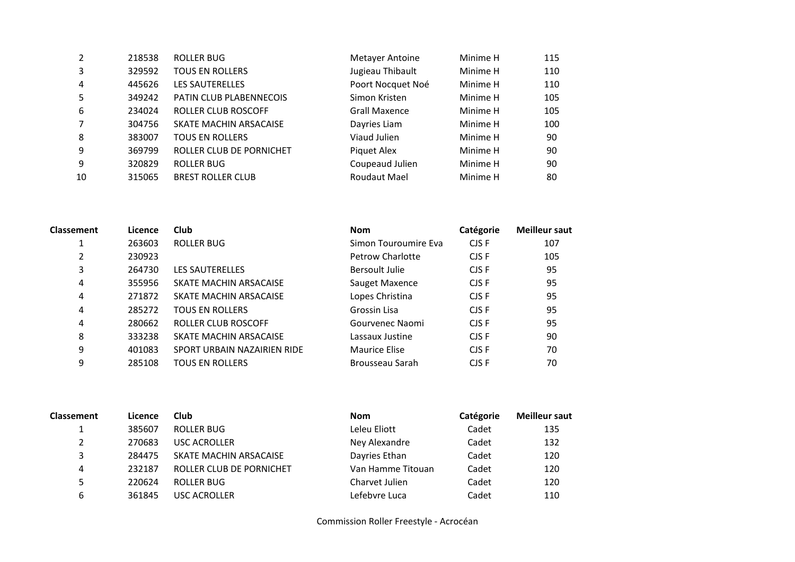| 2  | 218538 | <b>ROLLER BUG</b>        | <b>Metayer Antoine</b> | Minime H | 115 |
|----|--------|--------------------------|------------------------|----------|-----|
| 3  | 329592 | <b>TOUS EN ROLLERS</b>   | Jugieau Thibault       | Minime H | 110 |
| 4  | 445626 | <b>LES SAUTERELLES</b>   | Poort Nocquet Noé      | Minime H | 110 |
| 5  | 349242 | PATIN CLUB PLABENNECOIS  | Simon Kristen          | Minime H | 105 |
| 6  | 234024 | ROLLER CLUB ROSCOFF      | <b>Grall Maxence</b>   | Minime H | 105 |
|    | 304756 | SKATE MACHIN ARSACAISE   | Dayries Liam           | Minime H | 100 |
| 8  | 383007 | <b>TOUS EN ROLLERS</b>   | Viaud Julien           | Minime H | 90  |
| 9  | 369799 | ROLLER CLUB DE PORNICHET | Piquet Alex            | Minime H | 90  |
| 9  | 320829 | <b>ROLLER BUG</b>        | Coupeaud Julien        | Minime H | 90  |
| 10 | 315065 | <b>BREST ROLLER CLUB</b> | Roudaut Mael           | Minime H | 80  |

| <b>Classement</b> | Licence | <b>Club</b>                 | <b>Nom</b>              | Catégorie | <b>Meilleur saut</b> |
|-------------------|---------|-----------------------------|-------------------------|-----------|----------------------|
| 1                 | 263603  | ROLLER BUG                  | Simon Touroumire Eva    | CJS F     | 107                  |
| 2                 | 230923  |                             | <b>Petrow Charlotte</b> | CJS F     | 105                  |
| 3                 | 264730  | <b>LES SAUTERELLES</b>      | Bersoult Julie          | CJS F     | 95                   |
| 4                 | 355956  | SKATE MACHIN ARSACAISE      | Sauget Maxence          | CJS F     | 95                   |
| 4                 | 271872  | SKATE MACHIN ARSACAISE      | Lopes Christina         | CJS F     | 95                   |
| 4                 | 285272  | <b>TOUS EN ROLLERS</b>      | Grossin Lisa            | CJS F     | 95                   |
| 4                 | 280662  | <b>ROLLER CLUB ROSCOFF</b>  | Gourvenec Naomi         | CJS F     | 95                   |
| 8                 | 333238  | SKATE MACHIN ARSACAISE      | Lassaux Justine         | CJS F     | 90                   |
| 9                 | 401083  | SPORT URBAIN NAZAIRIEN RIDE | <b>Maurice Elise</b>    | CJS F     | 70                   |
| 9                 | 285108  | <b>TOUS EN ROLLERS</b>      | Brousseau Sarah         | CJS F     | 70                   |
|                   |         |                             |                         |           |                      |

| <b>Classement</b> | Licence | Club                     | <b>Nom</b>        | Catégorie | <b>Meilleur saut</b> |
|-------------------|---------|--------------------------|-------------------|-----------|----------------------|
|                   | 385607  | ROLLER BUG               | Leleu Eliott      | Cadet     | 135                  |
| $\overline{2}$    | 270683  | USC ACROLLER             | Ney Alexandre     | Cadet     | 132                  |
| 3                 | 284475  | SKATE MACHIN ARSACAISE   | Dayries Ethan     | Cadet     | 120                  |
| 4                 | 232187  | ROLLER CLUB DE PORNICHET | Van Hamme Titouan | Cadet     | 120                  |
| 5                 | 220624  | ROLLER BUG               | Charvet Julien    | Cadet     | 120                  |
| 6                 | 361845  | <b>USC ACROLLER</b>      | Lefebvre Luca     | Cadet     | 110                  |

Commission Roller Freestyle - Acrocéan